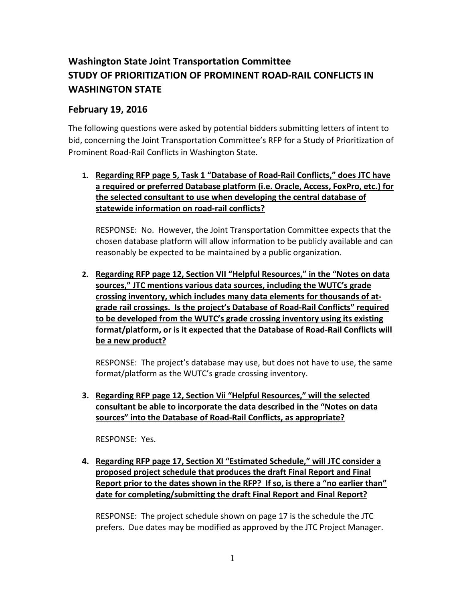## **Washington State Joint Transportation Committee STUDY OF PRIORITIZATION OF PROMINENT ROAD-RAIL CONFLICTS IN WASHINGTON STATE**

## **February 19, 2016**

The following questions were asked by potential bidders submitting letters of intent to bid, concerning the Joint Transportation Committee's RFP for a Study of Prioritization of Prominent Road-Rail Conflicts in Washington State.

## **1. Regarding RFP page 5, Task 1 "Database of Road-Rail Conflicts," does JTC have a required or preferred Database platform (i.e. Oracle, Access, FoxPro, etc.) for the selected consultant to use when developing the central database of statewide information on road-rail conflicts?**

RESPONSE: No. However, the Joint Transportation Committee expects that the chosen database platform will allow information to be publicly available and can reasonably be expected to be maintained by a public organization.

**2. Regarding RFP page 12, Section VII "Helpful Resources," in the "Notes on data sources," JTC mentions various data sources, including the WUTC's grade crossing inventory, which includes many data elements for thousands of atgrade rail crossings. Is the project's Database of Road-Rail Conflicts" required to be developed from the WUTC's grade crossing inventory using its existing format/platform, or is it expected that the Database of Road-Rail Conflicts will be a new product?**

RESPONSE: The project's database may use, but does not have to use, the same format/platform as the WUTC's grade crossing inventory.

**3. Regarding RFP page 12, Section Vii "Helpful Resources," will the selected consultant be able to incorporate the data described in the "Notes on data sources" into the Database of Road-Rail Conflicts, as appropriate?** 

RESPONSE: Yes.

**4. Regarding RFP page 17, Section XI "Estimated Schedule," will JTC consider a proposed project schedule that produces the draft Final Report and Final Report prior to the dates shown in the RFP? If so, is there a "no earlier than" date for completing/submitting the draft Final Report and Final Report?** 

RESPONSE: The project schedule shown on page 17 is the schedule the JTC prefers. Due dates may be modified as approved by the JTC Project Manager.